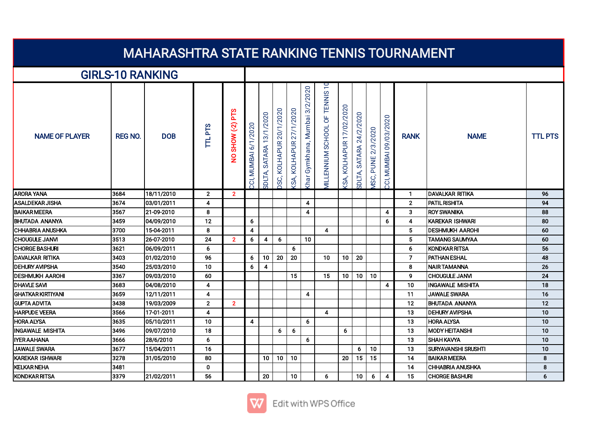| <u>MAHARASHIRA SIAIE KANKING TENNIS TUURNAMENT</u> |                |            |                |                  |                      |                               |                               |                            |                                          |                                                          |                           |                               |                           |                                    |                 |                            |                |
|----------------------------------------------------|----------------|------------|----------------|------------------|----------------------|-------------------------------|-------------------------------|----------------------------|------------------------------------------|----------------------------------------------------------|---------------------------|-------------------------------|---------------------------|------------------------------------|-----------------|----------------------------|----------------|
| <b>GIRLS-10 RANKING</b>                            |                |            |                |                  |                      |                               |                               |                            |                                          |                                                          |                           |                               |                           |                                    |                 |                            |                |
| <b>NAME OF PLAYER</b>                              | <b>REG NO.</b> | <b>DOB</b> | <b>TTLPTS</b>  | NO SHOW (-2) PTS | CCI, MUMBAI 6/1/2020 | 13/1/2020<br>SATARA<br>SDLTA, | 20/1/2020<br>KOLHAPUR<br>OSC, | KOLHAPUR 27/1/2020<br>(SA, | Gymkhana, Mumbai 3/2/2020<br><b>Khar</b> | $\overline{10}$<br>TENNIS<br><b>AILLENNIUM SCHOOL OF</b> | (SA, KOLHAPUR 17/02/2020) | 24/2/2020<br>SATARA<br>SDLTA, | 2/3/2020<br>PUNE<br>VISC, | 09/03/2020<br><b>MUMBAI</b><br>co, | <b>RANK</b>     | <b>NAME</b>                | <b>TTL PTS</b> |
| <b>ARORA YANA</b>                                  | 3684           | 18/11/2010 | $\mathbf{2}$   | 2 <sup>1</sup>   |                      |                               |                               |                            |                                          |                                                          |                           |                               |                           |                                    | 1               | DAVALKAR RITIKA            | 96             |
| <b>ASALDEKAR JISHA</b>                             | 3674           | 03/01/2011 | 4              |                  |                      |                               |                               |                            | 4                                        |                                                          |                           |                               |                           |                                    | $\overline{2}$  | PATIL RISHITA              | 94             |
| <b>BAIKAR MEERA</b>                                | 3567           | 21-09-2010 | 8              |                  |                      |                               |                               |                            | 4                                        |                                                          |                           |                               |                           | $\overline{4}$                     | 3               | <b>IROY SWANIKA</b>        | 88             |
| <b>BHUTADA ANANYA</b>                              | 3459           | 04/09/2010 | 12             |                  | 6                    |                               |                               |                            |                                          |                                                          |                           |                               |                           | 6                                  | $\overline{4}$  | KAREKAR ISHWARI            | 80             |
| <b>CHHABRIA ANUSHKA</b>                            | 3700           | 15-04-2011 | 8              |                  | 4                    |                               |                               |                            |                                          | 4                                                        |                           |                               |                           |                                    | $5\phantom{.0}$ | <b>DESHMUKH AAROHI</b>     | 60             |
| <b>CHOUGULE JANVI</b>                              | 3513           | 26-07-2010 | 24             | $\overline{2}$   | 6                    | 4                             | 6                             |                            | 10                                       |                                                          |                           |                               |                           |                                    | 5               | <b>TAMANG SAUMYAA</b>      | 60             |
| <b>CHORGE BASHURI</b>                              | 3621           | 06/09/2011 | 6              |                  |                      |                               |                               | 6                          |                                          |                                                          |                           |                               |                           |                                    | 6               | KONDKAR RITSA              | 56             |
| <b>DAVALKAR RITIKA</b>                             | 3403           | 01/02/2010 | 96             |                  | 6                    | 10                            | 20                            | 20                         |                                          | 10                                                       | 10                        | 20                            |                           |                                    | $\overline{7}$  | <b>PATHAN ESHAL</b>        | 48             |
| <b>DEHURY AVIPSHA</b>                              | 3540           | 25/03/2010 | 10             |                  | 6                    | 4                             |                               |                            |                                          |                                                          |                           |                               |                           |                                    | 8               | INAIR TAMANNA              | 26             |
| <b>DESHMUKH AAROHI</b>                             | 3367           | 09/03/2010 | 60             |                  |                      |                               |                               | 15                         |                                          | 15                                                       | 10                        | 10                            | 10                        |                                    | 9               | <b>CHOUGULE JANVI</b>      | 24             |
| <b>DHAVLE SAVI</b>                                 | 3683           | 04/08/2010 | 4              |                  |                      |                               |                               |                            |                                          |                                                          |                           |                               |                           | $\overline{4}$                     | 10              | <b>INGAWALE MISHITA</b>    | 18             |
| İGHATKAR KIRTIYANI                                 | 3659           | 12/11/2011 | 4              |                  |                      |                               |                               |                            | 4                                        |                                                          |                           |                               |                           |                                    | 11              | <b>JAWALE SWARA</b>        | 16             |
| <b>GUPTA ADVITA</b>                                | 3438           | 19/03/2009 | $\overline{2}$ | $\overline{2}$   |                      |                               |                               |                            |                                          |                                                          |                           |                               |                           |                                    | 12              | IBHUTADA ANANYA            | 12             |
| <b>HARPUDE VEERA</b>                               | 3566           | 17-01-2011 | 4              |                  |                      |                               |                               |                            |                                          | 4                                                        |                           |                               |                           |                                    | 13              | IDEHURY AVIPSHA            | 10             |
| <b>HORA ALYSA</b>                                  | 3635           | 05/10/2011 | 10             |                  | 4                    |                               |                               |                            | 6                                        |                                                          |                           |                               |                           |                                    | 13              | HORA ALYSA                 | 10             |
| INGAWALE MISHITA                                   | 3496           | 09/07/2010 | 18             |                  |                      |                               | 6                             | 6                          |                                          |                                                          | 6                         |                               |                           |                                    | 13              | <b>MODY HEITANSHI</b>      | 10             |
| <b>IYER AAHANA</b>                                 | 3666           | 28/6/2010  | 6              |                  |                      |                               |                               |                            | 6                                        |                                                          |                           |                               |                           |                                    | 13              | ISHAH KAVYA                | 10             |
| <b>JAWALE SWARA</b>                                | 3677           | 15/04/2011 | 16             |                  |                      |                               |                               |                            |                                          |                                                          |                           | 6                             | 10                        |                                    | 13              | <b>SURYAVANSHI SRUSHTI</b> | 10             |
| KAREKAR ISHWARI                                    | 3278           | 31/05/2010 | 80             |                  |                      | 10 <sup>1</sup>               | 10                            | 10                         |                                          |                                                          | 20                        | 15                            | 15                        |                                    | 14              | <b>BAIKAR MEERA</b>        | 8              |
| <b>KELKAR NEHA</b>                                 | 3481           |            | $\mathbf 0$    |                  |                      |                               |                               |                            |                                          |                                                          |                           |                               |                           |                                    | 14              | <b>CHHABRIA ANUSHKA</b>    | 8              |
| KONDKAR RITSA                                      | 3379           | 21/02/2011 | 56             |                  |                      | 20                            |                               | 10 <sup>1</sup>            |                                          | 6                                                        |                           | 10                            | 6                         | 4                                  | 15              | <b>ICHORGE BASHURI</b>     | 6              |

## MAHARASHTRA STATE RANKING TENNIS TOURNAMENT